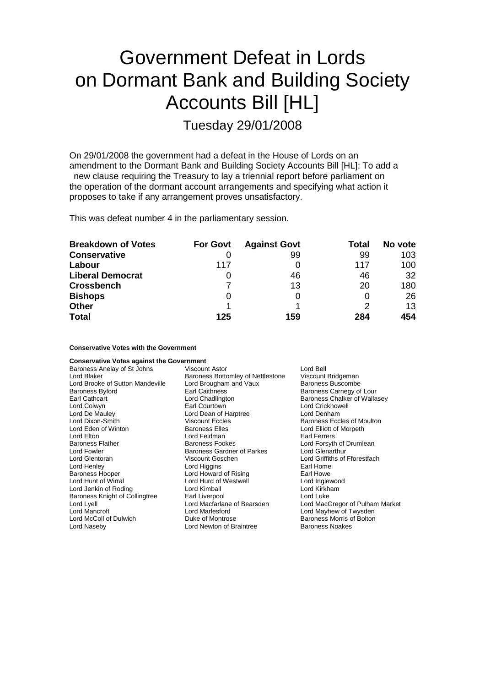# Government Defeat in Lords on Dormant Bank and Building Society Accounts Bill [HL]

Tuesday 29/01/2008

On 29/01/2008 the government had a defeat in the House of Lords on an amendment to the Dormant Bank and Building Society Accounts Bill [HL]: To add a new clause requiring the Treasury to lay a triennial report before parliament on the operation of the dormant account arrangements and specifying what action it proposes to take if any arrangement proves unsatisfactory.

This was defeat number 4 in the parliamentary session.

| <b>Breakdown of Votes</b> | <b>For Govt</b> | <b>Against Govt</b> | Total | No vote |
|---------------------------|-----------------|---------------------|-------|---------|
| <b>Conservative</b>       |                 | 99                  | 99    | 103     |
| Labour                    | 117             | 0                   | 117   | 100     |
| <b>Liberal Democrat</b>   |                 | 46                  | 46    | 32      |
| <b>Crossbench</b>         |                 | 13                  | 20    | 180     |
| <b>Bishops</b>            | 0               | 0                   |       | 26      |
| <b>Other</b>              |                 |                     |       | 13      |
| <b>Total</b>              | 125             | 159                 | 284   | 454     |

**Conservative Votes with the Government**

| <b>Conservative Votes against the Government</b> |                                                  |                                 |  |
|--------------------------------------------------|--------------------------------------------------|---------------------------------|--|
| Baroness Anelay of St Johns                      | <b>Viscount Astor</b>                            | Lord Bell                       |  |
| Lord Blaker                                      | Baroness Bottomley of Nettlestone                | Viscount Bridgeman              |  |
| Lord Brooke of Sutton Mandeville                 | Lord Brougham and Vaux                           | <b>Baroness Buscombe</b>        |  |
| <b>Baroness Byford</b>                           | Earl Caithness                                   | Baroness Carnegy of Lour        |  |
| Earl Cathcart                                    | Baroness Chalker of Wallasey<br>Lord Chadlington |                                 |  |
| Lord Colwyn                                      | Earl Courtown                                    | Lord Crickhowell                |  |
| Lord De Mauley                                   | Lord Dean of Harptree                            | Lord Denham                     |  |
| Lord Dixon-Smith                                 | <b>Viscount Eccles</b>                           | Baroness Eccles of Moulton      |  |
| Lord Eden of Winton                              | <b>Baroness Elles</b>                            | Lord Elliott of Morpeth         |  |
| Lord Elton                                       | Lord Feldman                                     | Earl Ferrers                    |  |
| <b>Baroness Flather</b>                          | <b>Baroness Fookes</b>                           | Lord Forsyth of Drumlean        |  |
| Lord Fowler                                      | <b>Baroness Gardner of Parkes</b>                | Lord Glenarthur                 |  |
| Lord Glentoran                                   | Viscount Goschen                                 | Lord Griffiths of Fforestfach   |  |
| Lord Henley                                      | Lord Higgins                                     | Earl Home                       |  |
| <b>Baroness Hooper</b>                           | Lord Howard of Rising                            | Earl Howe                       |  |
| Lord Hunt of Wirral                              | Lord Hurd of Westwell                            | Lord Inglewood                  |  |
| Lord Jenkin of Roding                            | Lord Kimball                                     | Lord Kirkham                    |  |
| Baroness Knight of Collingtree                   | Earl Liverpool                                   | Lord Luke                       |  |
| Lord Lyell                                       | Lord Macfarlane of Bearsden                      | Lord MacGregor of Pulham Market |  |
| Lord Mancroft                                    | Lord Marlesford                                  | Lord Mayhew of Twysden          |  |
| Lord McColl of Dulwich                           | Duke of Montrose                                 | Baroness Morris of Bolton       |  |
| Lord Naseby                                      | Lord Newton of Braintree                         | <b>Baroness Noakes</b>          |  |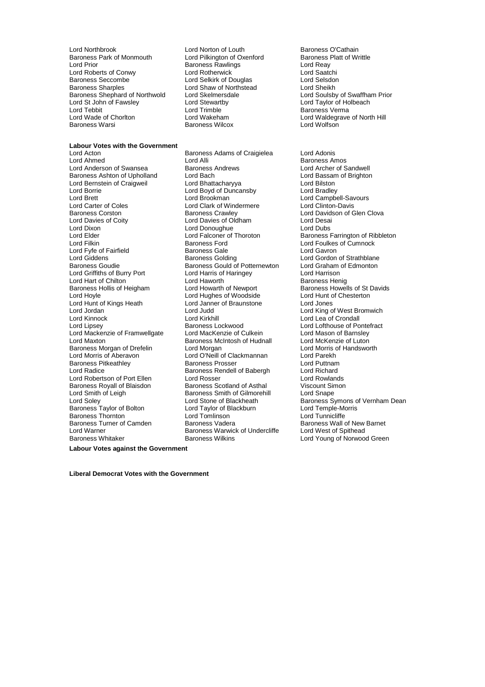Lord Northbrook **Lord Norton of Louth** Baroness O'Cathain<br>
Baroness Park of Monmouth Lord Pilkington of Oxenford Baroness Platt of Writtle Baroness Park of Monmouth Lord Pilkington of Oxenford Baroness F<br>Lord Prior Cord Reavings Baroness Rawlings Cord Reavings Lord Roberts of Conwy Lord Rotherwick and Rotherwick Lord Saatching Corp.<br>
Lord Section Lord Selssion Lord Selssion Lord Selssion Lord Selssion Baroness Seccombe **Lord Selkirk of Douglas** Lord Selsdon<br>Baroness Sharples **Lord Shaw of Northstead** Lord Sheikh Baroness Shephard of Northwold Lord Skelmersdale Lord Coulsby of Swaffha<br>
Lord St John of Fawsley Lord Stewartby Lord Taylor of Holbeach Lord St John of Fawsley Lord Stewartby<br>
Lord Tebbit **Lord Trimble** Lord Tebbit Lord Trimble Corp. Corp. 2014 Lord Trimble Corp. 2014 Makeham Lord Waldequand Lord Waldequand Lord Waldequand Lord Waldequand Lord Waldequand Lord Waldequand Lord Waldequand Lord Waldequand Lord Waldequand Lord Baroness Warsi **Baroness Wilcox** Baroness Wilcox

### **Labour Votes with the Government**

Lord Anderson of Swansea Lord Fyfe of Fairfield Lord Griffiths of Burry Port Lord Mackenzie of Framwellgate Lord Robertson of Port Ellen Baroness Thornton **Lord Tomlinson**<br>
Baroness Turner of Camden **Baroness Vadera** Lord Warner **Baroness Warwick of Undercliffe**<br>Baroness Whitaker **Baroness Wilkins** 

Earoness Rawlings and Reay Lord Reay<br>
Lord Rotherwick and Reader Lord Saatchi

Lord Acton **Communist Communist Communist Communist Communist Communist Communist Communist Communist Communist Communist Communist Communist Communist Communist Communist Communist Communist Communist Communist Communist** Lord Alli **Lord Alli Baroness Amos**<br>Baroness Andrews **Baroness Amos**<br>Lord Archer of Sandwell Baroness Ashton of Upholland Lord Bach Lord Bach Lord Bassam of Brighton<br>
Lord Bernstein of Craigweil Lord Bhattacharyya Lord Bilston Lord Bilston Lord Bernstein of Craigweil **Lord Bhattacharyya** Lord Bilston<br>Lord Bord Boyd of Duncansby Lord Bradlev Lord Boyd of Duncansby Lord Brett **Lord Brookman** Lord Brookman Lord Campbell-Savours<br>
Lord Carter of Coles **Lord Clark of Windermere** Lord Clinton-Davis Lord Carter of Coles Lord Clark of Windermere Lord Clinton-Davis Baroness Corston **Baroness Crawley** Baroness Crawley **Lord Davidson of Glen Clova**<br>
Lord Davies of Coity **Lord Davies of Oldham** Lord Desai Lord Davies of Oldham Lord Dixon Lord Donoughue Lord Dubs Lord Elder **Lord Falconer of Thoroton** Baroness Farrington of Ribbleton<br>
Lord Filkin **Baroness Ford** Baroness Ford **Lord Foulkes of Cumnock** Baroness Ford **Exercise Exercise Server Exercise Servers** Lord Foulkes of Cumnock<br> **Baroness Gale Lord Gavron** Lord Giddens **Baroness Golding** Lord Gordon of Strathblane<br>Baroness Goudie Baroness Gould of Potternewton Lord Graham of Edmonton Baroness Gould of Potternewton Lord Graham Cord Harris of Haringey Lord Harrison Lord Hart of Chilton **Communist Control Lord Haworth** Baroness Henig Baroness Hollis of Heigham Lord Howarth of Newport Baroness Howells of St Davids<br>
Lord Howle Lord Hughes of Woodside Lord Hunt of Chesterton Lord Hoyle **Lord Hughes of Woodside** Lord Hunt of Chester Lord Hunt of Chesterton Lord Jones<br>
Lord Hunt of Kings Heath **Lord Janner of Braunstone** Lord Jones Lord Janner of Braunstone Lord Jordan **Lord Jordan Lord Judd** Lord Judd Lord King of West Bromwich<br>
Lord Kinnock **Lord King Lord King Cord Conde**<br>
Lord Kinnock **Lord Allen Lord King Lord Lea** of Crondall Lord Kinnock Lord Kirkhill Lord Lea of Crondall Baroness Lockwood Lord Lofthouse of Pontefract<br>
Lord MacKenzie of Culkein Lord Mason of Barnsley Lord Maxton **Democyton Baroness McIntosh of Hudnall** Lord McKenzie of Luton<br>Baroness Morgan of Drefelin **Lord Morgan** Lord Morgan Lord Morris of Handsworth Baroness Morgan of Drefelin Lord Morgan Lord Lord Morris Cord Morris Cord Morris Cord Morris Cord Parekh Lord O'Neill of Clackmannan Lord Parekh<br>Baroness Prosser Lord Puttnam Baroness Pitkeathley **Baroness Prosser** Baroness Prosser **Lord Puttnam**<br>
Lord Radice **Baroness Rendell of Babergh** Lord Richard Lord Radice Baroness Rendell of Babergh Lord Richard Baroness Royall of Blaisdon Baroness Scotland of Asthal Viscount Simon Lord Smith of Leigh **Baroness Smith of Gilmorehill** Lord Snape<br>
Lord Soley **Baroness S**<br>
Lord Stone of Blackheath **Baroness S** Lord Soley Lord Stone of Blackheath Baroness Symon Baroness Symon Lord Taylor of Blackburn Lord Temple-Morris Correspondent Lord Temple-Morris Correspondent Lord Temple-Morris Correspondent Lord Temple-Morris Correspondent

Lord Shaw of Northstead<br>
Lord Skelmersdale<br>
Lord Soulsby of Swaffham Prior Lord Waldegrave of North Hill<br>Lord Wolfson

Lord Stone of Blackheath Baroness Symons of Vernham Dean<br>Lord Taylor of Blackhurn Lord Temple-Morris Baroness Wall of New Barnet<br>Lord West of Spithead Lord Young of Norwood Green

**Labour Votes against the Government**

**Liberal Democrat Votes with the Government**